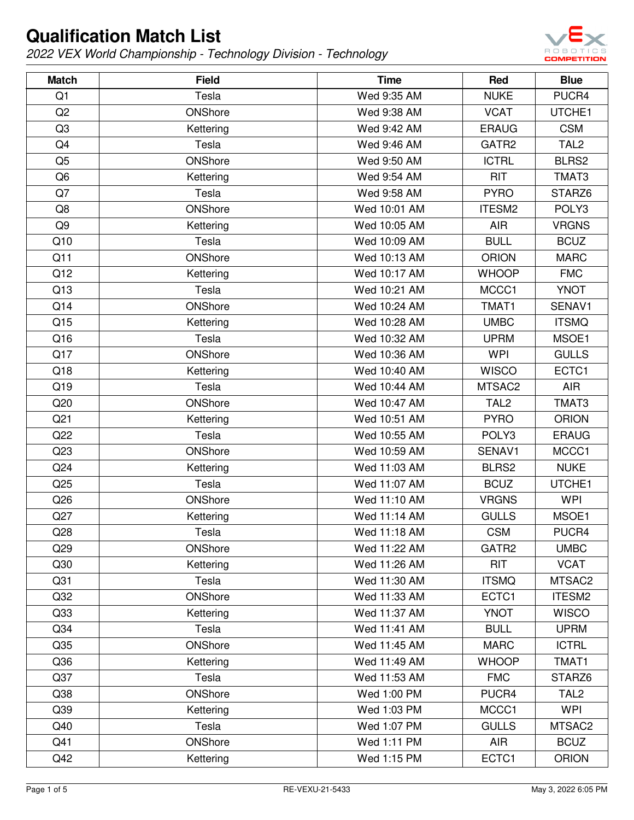

| <b>Match</b>    | <b>Field</b> | <b>Time</b>  | Red              | <b>Blue</b>      |
|-----------------|--------------|--------------|------------------|------------------|
| Q1              | Tesla        | Wed 9:35 AM  | <b>NUKE</b>      | PUCR4            |
| Q2              | ONShore      | Wed 9:38 AM  | <b>VCAT</b>      | UTCHE1           |
| Q3              | Kettering    | Wed 9:42 AM  | <b>ERAUG</b>     | <b>CSM</b>       |
| Q4              | Tesla        | Wed 9:46 AM  | GATR2            | TAL <sub>2</sub> |
| Q <sub>5</sub>  | ONShore      | Wed 9:50 AM  | <b>ICTRL</b>     | BLRS2            |
| Q <sub>6</sub>  | Kettering    | Wed 9:54 AM  | <b>RIT</b>       | TMAT3            |
| Q7              | Tesla        | Wed 9:58 AM  | <b>PYRO</b>      | STARZ6           |
| Q8              | ONShore      | Wed 10:01 AM | ITESM2           | POLY3            |
| Q9              | Kettering    | Wed 10:05 AM | <b>AIR</b>       | <b>VRGNS</b>     |
| Q10             | Tesla        | Wed 10:09 AM | <b>BULL</b>      | <b>BCUZ</b>      |
| Q11             | ONShore      | Wed 10:13 AM | <b>ORION</b>     | <b>MARC</b>      |
| Q12             | Kettering    | Wed 10:17 AM | <b>WHOOP</b>     | <b>FMC</b>       |
| Q13             | Tesla        | Wed 10:21 AM | MCCC1            | <b>YNOT</b>      |
| Q14             | ONShore      | Wed 10:24 AM | TMAT1            | SENAV1           |
| Q15             | Kettering    | Wed 10:28 AM | <b>UMBC</b>      | <b>ITSMQ</b>     |
| Q16             | Tesla        | Wed 10:32 AM | <b>UPRM</b>      | MSOE1            |
| Q17             | ONShore      | Wed 10:36 AM | <b>WPI</b>       | <b>GULLS</b>     |
| Q18             | Kettering    | Wed 10:40 AM | <b>WISCO</b>     | ECTC1            |
| Q19             | Tesla        | Wed 10:44 AM | MTSAC2           | <b>AIR</b>       |
| Q20             | ONShore      | Wed 10:47 AM | TAL <sub>2</sub> | TMAT3            |
| Q21             | Kettering    | Wed 10:51 AM | <b>PYRO</b>      | <b>ORION</b>     |
| Q22             | Tesla        | Wed 10:55 AM | POLY3            | <b>ERAUG</b>     |
| Q23             | ONShore      | Wed 10:59 AM | SENAV1           | MCCC1            |
| Q24             | Kettering    | Wed 11:03 AM | BLRS2            | <b>NUKE</b>      |
| Q25             | Tesla        | Wed 11:07 AM | <b>BCUZ</b>      | UTCHE1           |
| Q26             | ONShore      | Wed 11:10 AM | <b>VRGNS</b>     | <b>WPI</b>       |
| Q27             | Kettering    | Wed 11:14 AM | <b>GULLS</b>     | MSOE1            |
| Q28             | Tesla        | Wed 11:18 AM | <b>CSM</b>       | PUCR4            |
| Q29             | ONShore      | Wed 11:22 AM | GATR2            | <b>UMBC</b>      |
| Q30             | Kettering    | Wed 11:26 AM | <b>RIT</b>       | <b>VCAT</b>      |
| Q31             | Tesla        | Wed 11:30 AM | <b>ITSMQ</b>     | MTSAC2           |
| Q <sub>32</sub> | ONShore      | Wed 11:33 AM | ECTC1            | ITESM2           |
| Q33             | Kettering    | Wed 11:37 AM | <b>YNOT</b>      | <b>WISCO</b>     |
| Q34             | Tesla        | Wed 11:41 AM | <b>BULL</b>      | <b>UPRM</b>      |
| Q <sub>35</sub> | ONShore      | Wed 11:45 AM | <b>MARC</b>      | <b>ICTRL</b>     |
| Q36             | Kettering    | Wed 11:49 AM | <b>WHOOP</b>     | TMAT1            |
| Q37             | Tesla        | Wed 11:53 AM | <b>FMC</b>       | STARZ6           |
| Q38             | ONShore      | Wed 1:00 PM  | PUCR4            | TAL <sub>2</sub> |
| Q39             | Kettering    | Wed 1:03 PM  | MCCC1            | <b>WPI</b>       |
| Q40             | Tesla        | Wed 1:07 PM  | <b>GULLS</b>     | MTSAC2           |
| Q41             | ONShore      | Wed 1:11 PM  | <b>AIR</b>       | <b>BCUZ</b>      |
| Q42             | Kettering    | Wed 1:15 PM  | ECTC1            | <b>ORION</b>     |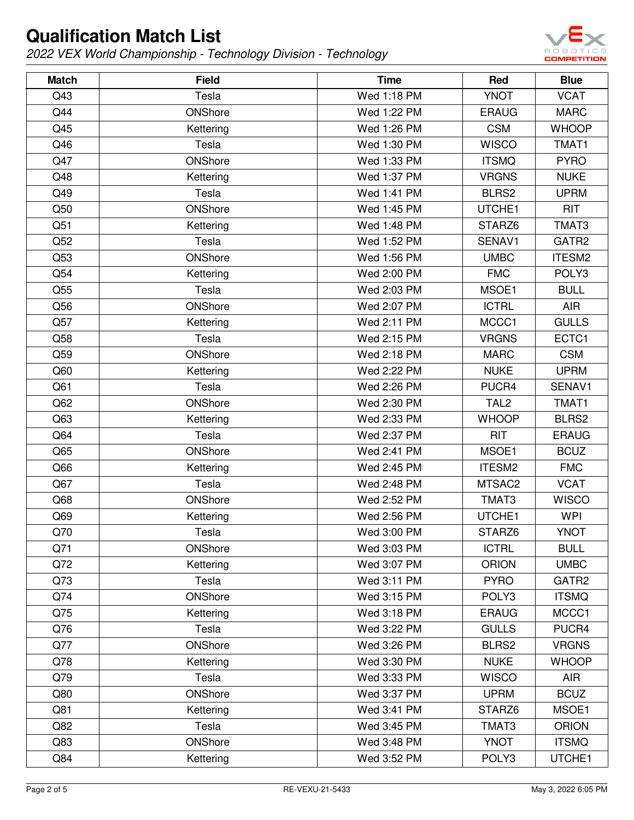

| <b>Match</b>    | <b>Field</b> | <b>Time</b> | Red              | <b>Blue</b>  |
|-----------------|--------------|-------------|------------------|--------------|
| Q43             | Tesla        | Wed 1:18 PM | <b>YNOT</b>      | <b>VCAT</b>  |
| Q44             | ONShore      | Wed 1:22 PM | <b>ERAUG</b>     | <b>MARC</b>  |
| Q45             | Kettering    | Wed 1:26 PM | <b>CSM</b>       | <b>WHOOP</b> |
| Q46             | Tesla        | Wed 1:30 PM | <b>WISCO</b>     | TMAT1        |
| Q47             | ONShore      | Wed 1:33 PM | <b>ITSMQ</b>     | <b>PYRO</b>  |
| Q48             | Kettering    | Wed 1:37 PM | <b>VRGNS</b>     | <b>NUKE</b>  |
| Q49             | Tesla        | Wed 1:41 PM | BLRS2            | <b>UPRM</b>  |
| Q50             | ONShore      | Wed 1:45 PM | UTCHE1           | <b>RIT</b>   |
| Q51             | Kettering    | Wed 1:48 PM | STARZ6           | TMAT3        |
| Q52             | Tesla        | Wed 1:52 PM | SENAV1           | GATR2        |
| Q53             | ONShore      | Wed 1:56 PM | <b>UMBC</b>      | ITESM2       |
| Q54             | Kettering    | Wed 2:00 PM | <b>FMC</b>       | POLY3        |
| Q55             | Tesla        | Wed 2:03 PM | MSOE1            | <b>BULL</b>  |
| Q56             | ONShore      | Wed 2:07 PM | <b>ICTRL</b>     | <b>AIR</b>   |
| Q57             | Kettering    | Wed 2:11 PM | MCCC1            | <b>GULLS</b> |
| Q58             | Tesla        | Wed 2:15 PM | <b>VRGNS</b>     | ECTC1        |
| Q59             | ONShore      | Wed 2:18 PM | <b>MARC</b>      | <b>CSM</b>   |
| Q60             | Kettering    | Wed 2:22 PM | <b>NUKE</b>      | <b>UPRM</b>  |
| Q61             | Tesla        | Wed 2:26 PM | PUCR4            | SENAV1       |
| Q <sub>62</sub> | ONShore      | Wed 2:30 PM | TAL <sub>2</sub> | TMAT1        |
| Q63             | Kettering    | Wed 2:33 PM | <b>WHOOP</b>     | BLRS2        |
| Q64             | Tesla        | Wed 2:37 PM | <b>RIT</b>       | <b>ERAUG</b> |
| Q65             | ONShore      | Wed 2:41 PM | MSOE1            | <b>BCUZ</b>  |
| Q66             | Kettering    | Wed 2:45 PM | ITESM2           | <b>FMC</b>   |
| Q67             | Tesla        | Wed 2:48 PM | MTSAC2           | <b>VCAT</b>  |
| Q68             | ONShore      | Wed 2:52 PM | TMAT3            | <b>WISCO</b> |
| Q69             | Kettering    | Wed 2:56 PM | UTCHE1           | <b>WPI</b>   |
| Q70             | Tesla        | Wed 3:00 PM | STARZ6           | <b>YNOT</b>  |
| Q71             | ONShore      | Wed 3:03 PM | <b>ICTRL</b>     | <b>BULL</b>  |
| Q72             | Kettering    | Wed 3:07 PM | <b>ORION</b>     | <b>UMBC</b>  |
| Q73             | Tesla        | Wed 3:11 PM | <b>PYRO</b>      | GATR2        |
| Q74             | ONShore      | Wed 3:15 PM | POLY3            | <b>ITSMQ</b> |
| Q75             | Kettering    | Wed 3:18 PM | <b>ERAUG</b>     | MCCC1        |
| Q76             | Tesla        | Wed 3:22 PM | <b>GULLS</b>     | PUCR4        |
| Q77             | ONShore      | Wed 3:26 PM | BLRS2            | <b>VRGNS</b> |
| Q78             | Kettering    | Wed 3:30 PM | <b>NUKE</b>      | <b>WHOOP</b> |
| Q79             | Tesla        | Wed 3:33 PM | <b>WISCO</b>     | <b>AIR</b>   |
| Q80             | ONShore      | Wed 3:37 PM | <b>UPRM</b>      | <b>BCUZ</b>  |
| Q81             | Kettering    | Wed 3:41 PM | STARZ6           | MSOE1        |
| Q82             | Tesla        | Wed 3:45 PM | TMAT3            | <b>ORION</b> |
| Q83             | ONShore      | Wed 3:48 PM | <b>YNOT</b>      | <b>ITSMQ</b> |
| Q84             | Kettering    | Wed 3:52 PM | POLY3            | UTCHE1       |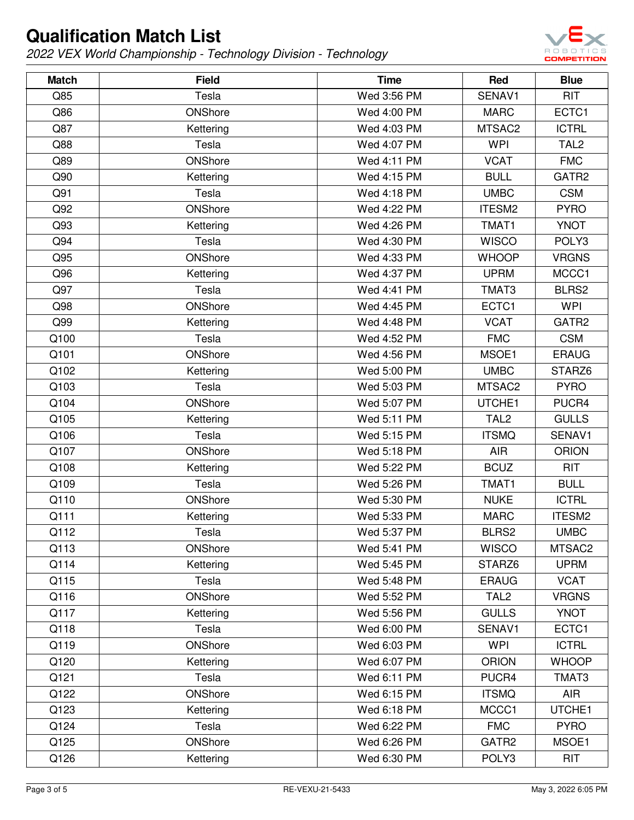

| <b>Match</b> | <b>Field</b> | <b>Time</b> | Red              | <b>Blue</b>      |
|--------------|--------------|-------------|------------------|------------------|
| Q85          | Tesla        | Wed 3:56 PM | SENAV1           | <b>RIT</b>       |
| Q86          | ONShore      | Wed 4:00 PM | <b>MARC</b>      | ECTC1            |
| Q87          | Kettering    | Wed 4:03 PM | MTSAC2           | <b>ICTRL</b>     |
| Q88          | Tesla        | Wed 4:07 PM | <b>WPI</b>       | TAL <sub>2</sub> |
| Q89          | ONShore      | Wed 4:11 PM | <b>VCAT</b>      | <b>FMC</b>       |
| Q90          | Kettering    | Wed 4:15 PM | <b>BULL</b>      | GATR2            |
| Q91          | Tesla        | Wed 4:18 PM | <b>UMBC</b>      | <b>CSM</b>       |
| Q92          | ONShore      | Wed 4:22 PM | ITESM2           | <b>PYRO</b>      |
| Q93          | Kettering    | Wed 4:26 PM | TMAT1            | <b>YNOT</b>      |
| Q94          | Tesla        | Wed 4:30 PM | <b>WISCO</b>     | POLY3            |
| Q95          | ONShore      | Wed 4:33 PM | <b>WHOOP</b>     | <b>VRGNS</b>     |
| Q96          | Kettering    | Wed 4:37 PM | <b>UPRM</b>      | MCCC1            |
| Q97          | Tesla        | Wed 4:41 PM | TMAT3            | BLRS2            |
| Q98          | ONShore      | Wed 4:45 PM | ECTC1            | <b>WPI</b>       |
| Q99          | Kettering    | Wed 4:48 PM | <b>VCAT</b>      | GATR2            |
| Q100         | Tesla        | Wed 4:52 PM | <b>FMC</b>       | <b>CSM</b>       |
| Q101         | ONShore      | Wed 4:56 PM | MSOE1            | <b>ERAUG</b>     |
| Q102         | Kettering    | Wed 5:00 PM | <b>UMBC</b>      | STARZ6           |
| Q103         | Tesla        | Wed 5:03 PM | MTSAC2           | <b>PYRO</b>      |
| Q104         | ONShore      | Wed 5:07 PM | UTCHE1           | PUCR4            |
| Q105         | Kettering    | Wed 5:11 PM | TAL <sub>2</sub> | <b>GULLS</b>     |
| Q106         | Tesla        | Wed 5:15 PM | <b>ITSMQ</b>     | SENAV1           |
| Q107         | ONShore      | Wed 5:18 PM | <b>AIR</b>       | <b>ORION</b>     |
| Q108         | Kettering    | Wed 5:22 PM | <b>BCUZ</b>      | <b>RIT</b>       |
| Q109         | Tesla        | Wed 5:26 PM | TMAT1            | <b>BULL</b>      |
| Q110         | ONShore      | Wed 5:30 PM | <b>NUKE</b>      | <b>ICTRL</b>     |
| Q111         | Kettering    | Wed 5:33 PM | <b>MARC</b>      | ITESM2           |
| Q112         | Tesla        | Wed 5:37 PM | BLRS2            | <b>UMBC</b>      |
| Q113         | ONShore      | Wed 5:41 PM | <b>WISCO</b>     | MTSAC2           |
| Q114         | Kettering    | Wed 5:45 PM | STARZ6           | <b>UPRM</b>      |
| Q115         | Tesla        | Wed 5:48 PM | <b>ERAUG</b>     | <b>VCAT</b>      |
| Q116         | ONShore      | Wed 5:52 PM | TAL <sub>2</sub> | <b>VRGNS</b>     |
| Q117         | Kettering    | Wed 5:56 PM | <b>GULLS</b>     | <b>YNOT</b>      |
| Q118         | Tesla        | Wed 6:00 PM | SENAV1           | ECTC1            |
| Q119         | ONShore      | Wed 6:03 PM | <b>WPI</b>       | <b>ICTRL</b>     |
| Q120         | Kettering    | Wed 6:07 PM | <b>ORION</b>     | <b>WHOOP</b>     |
| Q121         | Tesla        | Wed 6:11 PM | PUCR4            | TMAT3            |
| Q122         | ONShore      | Wed 6:15 PM | <b>ITSMQ</b>     | <b>AIR</b>       |
| Q123         | Kettering    | Wed 6:18 PM | MCCC1            | UTCHE1           |
| Q124         | Tesla        | Wed 6:22 PM | <b>FMC</b>       | <b>PYRO</b>      |
| Q125         | ONShore      | Wed 6:26 PM | GATR2            | MSOE1            |
| Q126         | Kettering    | Wed 6:30 PM | POLY3            | <b>RIT</b>       |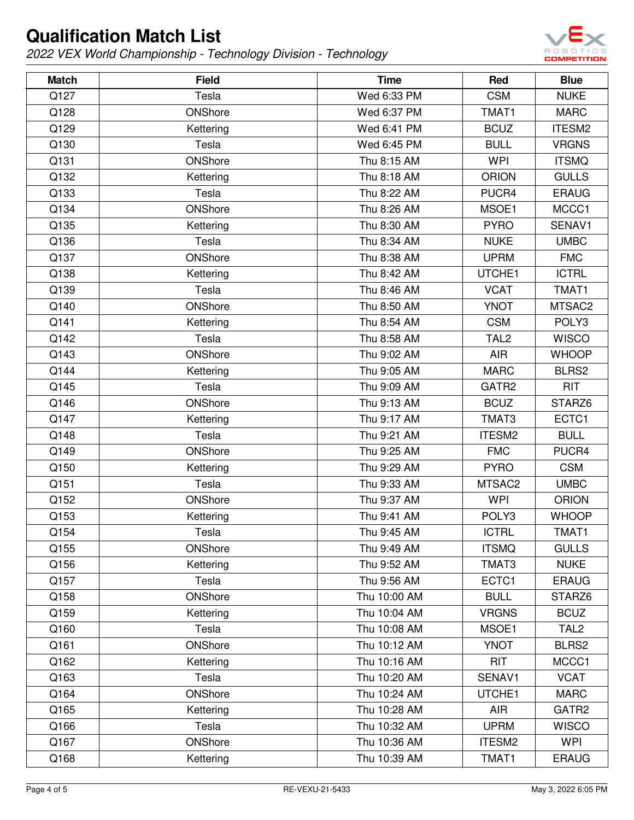

| <b>Match</b> | <b>Field</b> | <b>Time</b>  | Red              | <b>Blue</b>      |
|--------------|--------------|--------------|------------------|------------------|
| Q127         | Tesla        | Wed 6:33 PM  | <b>CSM</b>       | <b>NUKE</b>      |
| Q128         | ONShore      | Wed 6:37 PM  | TMAT1            | <b>MARC</b>      |
| Q129         | Kettering    | Wed 6:41 PM  | <b>BCUZ</b>      | ITESM2           |
| Q130         | Tesla        | Wed 6:45 PM  | <b>BULL</b>      | <b>VRGNS</b>     |
| Q131         | ONShore      | Thu 8:15 AM  | <b>WPI</b>       | <b>ITSMQ</b>     |
| Q132         | Kettering    | Thu 8:18 AM  | <b>ORION</b>     | <b>GULLS</b>     |
| Q133         | Tesla        | Thu 8:22 AM  | PUCR4            | <b>ERAUG</b>     |
| Q134         | ONShore      | Thu 8:26 AM  | MSOE1            | MCCC1            |
| Q135         | Kettering    | Thu 8:30 AM  | <b>PYRO</b>      | SENAV1           |
| Q136         | Tesla        | Thu 8:34 AM  | <b>NUKE</b>      | <b>UMBC</b>      |
| Q137         | ONShore      | Thu 8:38 AM  | <b>UPRM</b>      | <b>FMC</b>       |
| Q138         | Kettering    | Thu 8:42 AM  | UTCHE1           | <b>ICTRL</b>     |
| Q139         | Tesla        | Thu 8:46 AM  | <b>VCAT</b>      | TMAT1            |
| Q140         | ONShore      | Thu 8:50 AM  | <b>YNOT</b>      | MTSAC2           |
| Q141         | Kettering    | Thu 8:54 AM  | <b>CSM</b>       | POLY3            |
| Q142         | Tesla        | Thu 8:58 AM  | TAL <sub>2</sub> | <b>WISCO</b>     |
| Q143         | ONShore      | Thu 9:02 AM  | <b>AIR</b>       | <b>WHOOP</b>     |
| Q144         | Kettering    | Thu 9:05 AM  | <b>MARC</b>      | BLRS2            |
| Q145         | Tesla        | Thu 9:09 AM  | GATR2            | <b>RIT</b>       |
| Q146         | ONShore      | Thu 9:13 AM  | <b>BCUZ</b>      | STARZ6           |
| Q147         | Kettering    | Thu 9:17 AM  | TMAT3            | ECTC1            |
| Q148         | Tesla        | Thu 9:21 AM  | ITESM2           | <b>BULL</b>      |
| Q149         | ONShore      | Thu 9:25 AM  | <b>FMC</b>       | PUCR4            |
| Q150         | Kettering    | Thu 9:29 AM  | <b>PYRO</b>      | <b>CSM</b>       |
| Q151         | Tesla        | Thu 9:33 AM  | MTSAC2           | <b>UMBC</b>      |
| Q152         | ONShore      | Thu 9:37 AM  | <b>WPI</b>       | <b>ORION</b>     |
| Q153         | Kettering    | Thu 9:41 AM  | POLY3            | <b>WHOOP</b>     |
| Q154         | Tesla        | Thu 9:45 AM  | <b>ICTRL</b>     | TMAT1            |
| Q155         | ONShore      | Thu 9:49 AM  | <b>ITSMQ</b>     | <b>GULLS</b>     |
| Q156         | Kettering    | Thu 9:52 AM  | TMAT3            | <b>NUKE</b>      |
| Q157         | Tesla        | Thu 9:56 AM  | ECTC1            | <b>ERAUG</b>     |
| Q158         | ONShore      | Thu 10:00 AM | <b>BULL</b>      | STARZ6           |
| Q159         | Kettering    | Thu 10:04 AM | <b>VRGNS</b>     | <b>BCUZ</b>      |
| Q160         | Tesla        | Thu 10:08 AM | MSOE1            | TAL <sub>2</sub> |
| Q161         | ONShore      | Thu 10:12 AM | <b>YNOT</b>      | BLRS2            |
| Q162         | Kettering    | Thu 10:16 AM | <b>RIT</b>       | MCCC1            |
| Q163         | Tesla        | Thu 10:20 AM | SENAV1           | <b>VCAT</b>      |
| Q164         | ONShore      | Thu 10:24 AM | UTCHE1           | <b>MARC</b>      |
| Q165         | Kettering    | Thu 10:28 AM | <b>AIR</b>       | GATR2            |
| Q166         | Tesla        | Thu 10:32 AM | <b>UPRM</b>      | <b>WISCO</b>     |
| Q167         | ONShore      | Thu 10:36 AM | ITESM2           | <b>WPI</b>       |
| Q168         | Kettering    | Thu 10:39 AM | TMAT1            | <b>ERAUG</b>     |